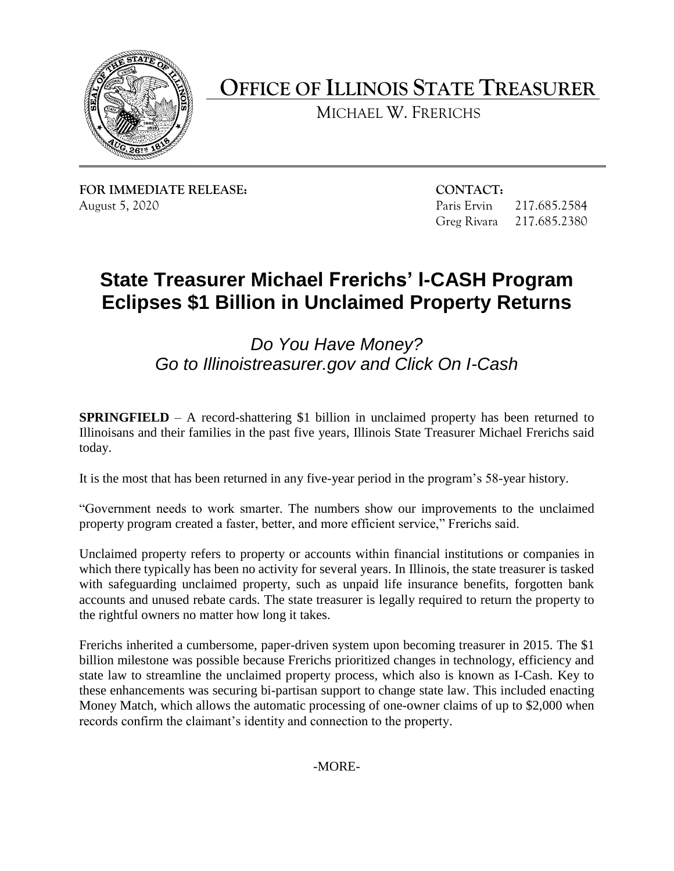

**OFFICE OF ILLINOIS STATE TREASURER** 

MICHAEL W. FRERICHS

**FOR IMMEDIATE RELEASE: CONTACT:** 

217.685.2584 August 5, 2020 Paris Ervin 217.685.2584 Greg Rivara 217.685.2380

## **State Treasurer Michael Frerichs' I-CASH Program Eclipses \$1 Billion in Unclaimed Property Returns**

*Do You Have Money? Go to [Illinoistreasurer.gov](https://Illinoistreasurer.gov) and Click On I-Cash* 

**SPRINGFIELD** – A record-shattering \$1 billion in unclaimed property has been returned to Illinoisans and their families in the past five years, Illinois State Treasurer Michael Frerichs said today.

It is the most that has been returned in any five-year period in the program's 58-year history.

"Government needs to work smarter. The numbers show our improvements to the unclaimed property program created a faster, better, and more efficient service," Frerichs said.

 which there typically has been no activity for several years. In Illinois, the state treasurer is tasked with safeguarding unclaimed property, such as unpaid life insurance benefits, forgotten bank accounts and unused rebate cards. The state treasurer is legally required to return the property to Unclaimed property refers to property or accounts within financial institutions or companies in the rightful owners no matter how long it takes.

 billion milestone was possible because Frerichs prioritized changes in technology, efficiency and state law to streamline the unclaimed property process, which also is known as I-Cash. Key to these enhancements was securing bi-partisan support to change state law. This included enacting Money Match, which allows the automatic processing of one-owner claims of up to \$2,000 when Frerichs inherited a cumbersome, paper-driven system upon becoming treasurer in 2015. The \$1 records confirm the claimant's identity and connection to the property.

-MORE-